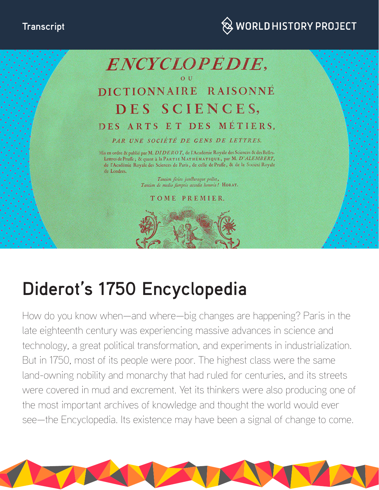



# **Diderot's 1750 Encyclopedia**

How do you know when—and where—big changes are happening? Paris in the late eighteenth century was experiencing massive advances in science and technology, a great political transformation, and experiments in industrialization. But in 1750, most of its people were poor. The highest class were the same land-owning nobility and monarchy that had ruled for centuries, and its streets were covered in mud and excrement. Yet its thinkers were also producing one of the most important archives of knowledge and thought the world would ever see—the Encyclopedia. Its existence may have been a signal of change to come.

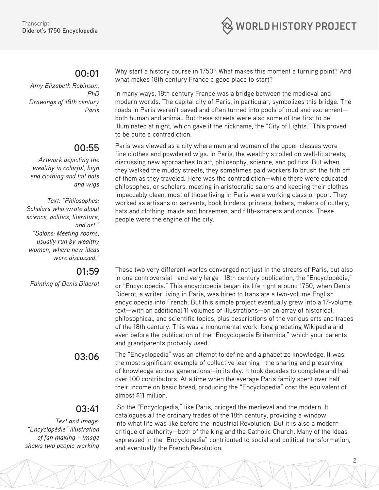

### **00:01**

*Amy Elizabeth Robinson, PhD Drawings of 18th century Paris*

# **00:55**

*Artwork depicting the wealthy in colorful, high end clothing and tall hats and wigs*

*Text: "Philosophes: Scholars who wrote about science, politics, literature, and art." "Salons: Meeting rooms, usually run by wealthy women, where new ideas were discussed."* 

#### **01:59**

*Painting of Denis Diderot*

# **03:41**

*Text and image: "Encyclopédie" illustration of fan making – image shows two people working*  Why start a history course in 1750? What makes this moment a turning point? And what makes 18th century France a good place to start?

In many ways, 18th century France was a bridge between the medieval and modern worlds. The capital city of Paris, in particular, symbolizes this bridge. The roads in Paris weren't paved and often turned into pools of mud and excrement both human and animal. But these streets were also some of the first to be illuminated at night, which gave it the nickname, the "City of Lights." This proved to be quite a contradiction.

Paris was viewed as a city where men and women of the upper classes wore fine clothes and powdered wigs. In Paris, the wealthy strolled on well-lit streets, discussing new approaches to art, philosophy, science, and politics. But when they walked the muddy streets, they sometimes paid workers to brush the filth off of them as they traveled. Here was the contradiction—while there were educated philosophes, or scholars, meeting in aristocratic salons and keeping their clothes impeccably clean, most of those living in Paris were working class or poor. They worked as artisans or servants, book binders, printers, bakers, makers of cutlery, hats and clothing, maids and horsemen, and filth-scrapers and cooks. These people were the engine of the city.

These two very different worlds converged not just in the streets of Paris, but also in one controversial—and very large—18th century publication, the "Encyclopédie," or "Encyclopedia." This encyclopedia began its life right around 1750, when Denis Diderot, a writer living in Paris, was hired to translate a two-volume English encyclopedia into French. But this simple project eventually grew into a 17-volume text—with an additional 11 volumes of illustrations—on an array of historical, philosophical, and scientific topics, plus descriptions of the various arts and trades of the 18th century. This was a monumental work, long predating Wikipedia and even before the publication of the "Encyclopedia Britannica," which your parents and grandparents probably used.

**03:06** The "Encyclopedia" was an attempt to define and alphabetize knowledge. It was the most significant example of collective learning—the sharing and preserving of knowledge across generations—in its day. It took decades to complete and had over 100 contributors. At a time when the average Paris family spent over half their income on basic bread, producing the "Encyclopedia" cost the equivalent of almost \$11 million.

> So the "Encyclopedia," like Paris, bridged the medieval and the modern. It catalogues all the ordinary trades of the 18th century, providing a window into what life was like before the Industrial Revolution. But it is also a modern critique of authority—both of the king and the Catholic Church. Many of the ideas expressed in the "Encyclopedia" contributed to social and political transformation, and eventually the French Revolution.

> > 2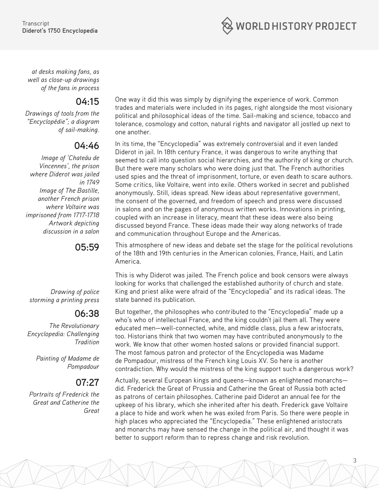

*at desks making fans, as well as close-up drawings of the fans in process*

#### **04:15**

*Drawings of tools from the "Encyclopédie"; a diagram of sail-making.*

# **04:46**

*Image of 'Chateáu de Vincennes', the prison where Diderot was jailed in 1749 Image of The Bastille, another French prison where Voltaire was imprisoned from 1717-1718 Artwork depicting discussion in a salon*

# **05:59**

*Drawing of police storming a printing press*

# **06:38**

*The Revolutionary Encyclopedia: Challenging Tradition*

> *Painting of Madame de Pompadour*

### **07:27**

*Portraits of Frederick the Great and Catherine the Great*

One way it did this was simply by dignifying the experience of work. Common trades and materials were included in its pages, right alongside the most visionary political and philosophical ideas of the time. Sail-making and science, tobacco and tolerance, cosmology and cotton, natural rights and navigator all jostled up next to one another.

In its time, the "Encyclopedia" was extremely controversial and it even landed Diderot in jail. In 18th century France, it was dangerous to write anything that seemed to call into question social hierarchies, and the authority of king or church. But there were many scholars who were doing just that. The French authorities used spies and the threat of imprisonment, torture, or even death to scare authors. Some critics, like Voltaire, went into exile. Others worked in secret and published anonymously. Still, ideas spread. New ideas about representative government, the consent of the governed, and freedom of speech and press were discussed in salons and on the pages of anonymous written works. Innovations in printing, coupled with an increase in literacy, meant that these ideas were also being discussed beyond France. These ideas made their way along networks of trade and communication throughout Europe and the Americas.

This atmosphere of new ideas and debate set the stage for the political revolutions of the 18th and 19th centuries in the American colonies, France, Haiti, and Latin America.

This is why Diderot was jailed. The French police and book censors were always looking for works that challenged the established authority of church and state. King and priest alike were afraid of the "Encyclopedia" and its radical ideas. The state banned its publication.

But together, the philosophes who contributed to the "Encyclopedia" made up a who's who of intellectual France, and the king couldn't jail them all. They were educated men—well-connected, white, and middle class, plus a few aristocrats, too. Historians think that two women may have contributed anonymously to the work. We know that other women hosted salons or provided financial support. The most famous patron and protector of the Encyclopedia was Madame de Pompadour, mistress of the French king Louis XV. So here is another contradiction. Why would the mistress of the king support such a dangerous work?

Actually, several European kings and queens—known as enlightened monarchs did. Frederick the Great of Prussia and Catherine the Great of Russia both acted as patrons of certain philosophes. Catherine paid Diderot an annual fee for the upkeep of his library, which she inherited after his death. Frederick gave Voltaire a place to hide and work when he was exiled from Paris. So there were people in high places who appreciated the "Encyclopedia." These enlightened aristocrats and monarchs may have sensed the change in the political air, and thought it was better to support reform than to repress change and risk revolution.

3